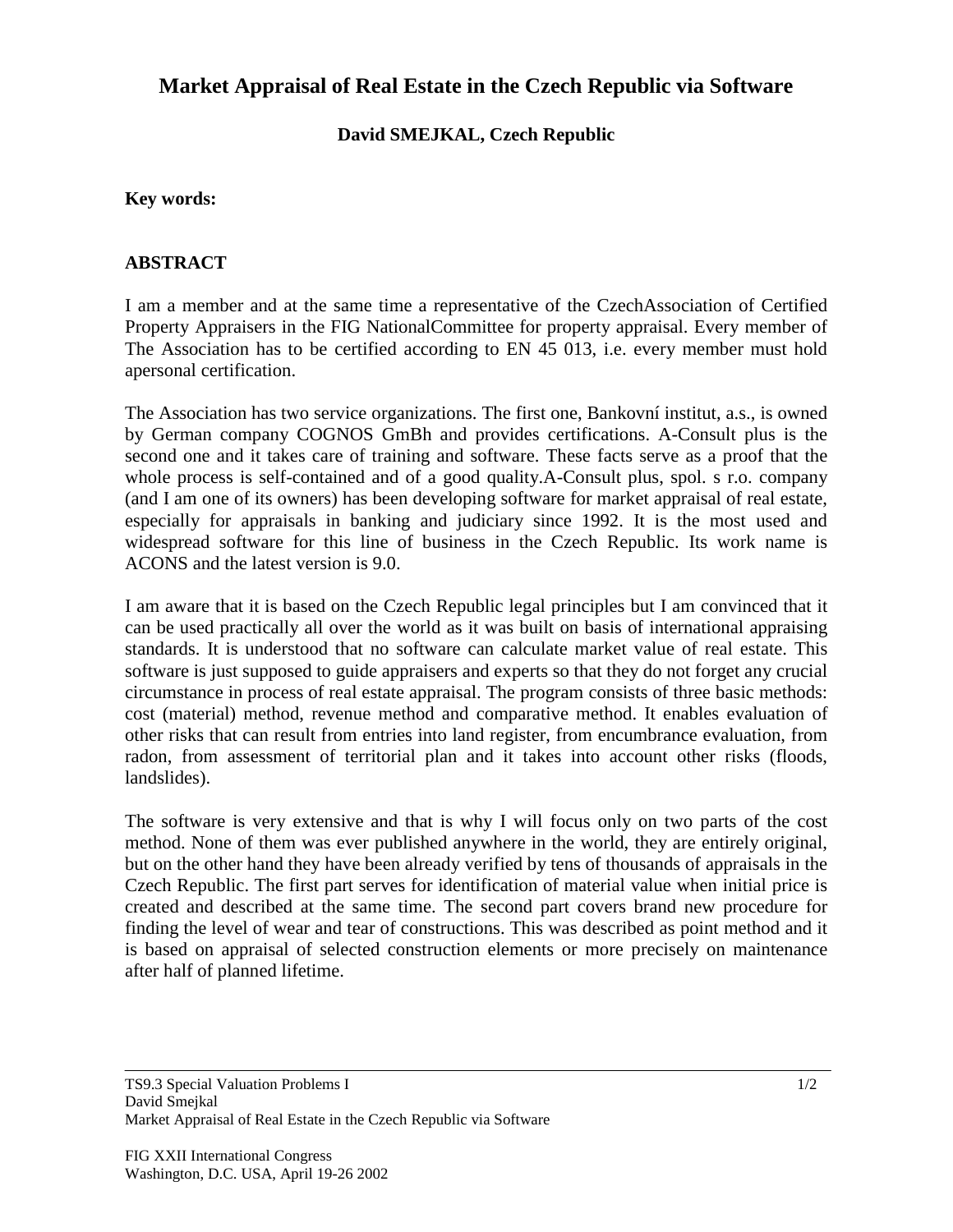# **Market Appraisal of Real Estate in the Czech Republic via Software**

### **David SMEJKAL, Czech Republic**

### **Key words:**

#### **ABSTRACT**

I am a member and at the same time a representative of the CzechAssociation of Certified Property Appraisers in the FIG NationalCommittee for property appraisal. Every member of The Association has to be certified according to EN 45 013, i.e. every member must hold apersonal certification.

The Association has two service organizations. The first one, Bankovní institut, a.s., is owned by German company COGNOS GmBh and provides certifications. A-Consult plus is the second one and it takes care of training and software. These facts serve as a proof that the whole process is self-contained and of a good quality.A-Consult plus, spol. s r.o. company (and I am one of its owners) has been developing software for market appraisal of real estate, especially for appraisals in banking and judiciary since 1992. It is the most used and widespread software for this line of business in the Czech Republic. Its work name is ACONS and the latest version is 9.0.

I am aware that it is based on the Czech Republic legal principles but I am convinced that it can be used practically all over the world as it was built on basis of international appraising standards. It is understood that no software can calculate market value of real estate. This software is just supposed to guide appraisers and experts so that they do not forget any crucial circumstance in process of real estate appraisal. The program consists of three basic methods: cost (material) method, revenue method and comparative method. It enables evaluation of other risks that can result from entries into land register, from encumbrance evaluation, from radon, from assessment of territorial plan and it takes into account other risks (floods, landslides).

The software is very extensive and that is why I will focus only on two parts of the cost method. None of them was ever published anywhere in the world, they are entirely original, but on the other hand they have been already verified by tens of thousands of appraisals in the Czech Republic. The first part serves for identification of material value when initial price is created and described at the same time. The second part covers brand new procedure for finding the level of wear and tear of constructions. This was described as point method and it is based on appraisal of selected construction elements or more precisely on maintenance after half of planned lifetime.